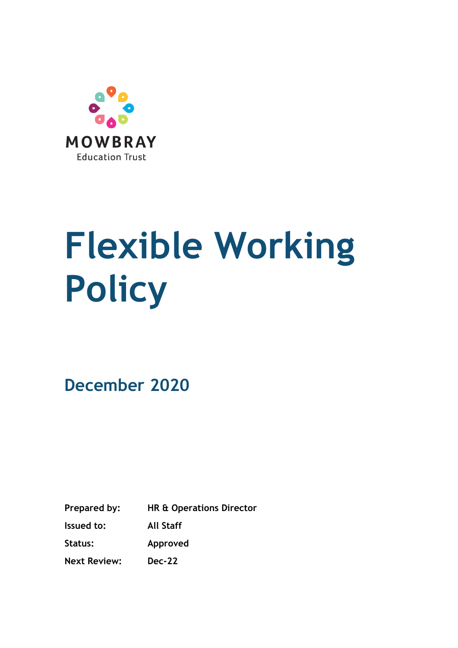

# **Flexible Working Policy**

**December 2020**

**Prepared by: HR & Operations Director Issued to: All Staff Status: Approved**

**Next Review: Dec-22**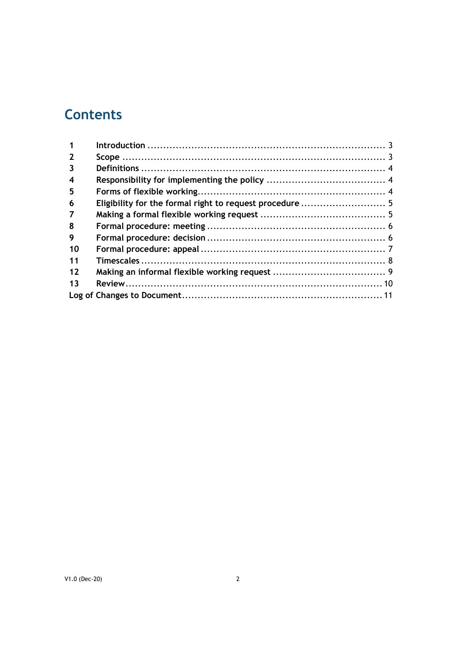# **Contents**

| $\overline{2}$   |  |
|------------------|--|
| 3                |  |
| $\boldsymbol{4}$ |  |
| 5                |  |
| 6                |  |
| 7                |  |
| 8                |  |
| 9                |  |
| 10               |  |
| 11               |  |
| 12               |  |
| 13               |  |
|                  |  |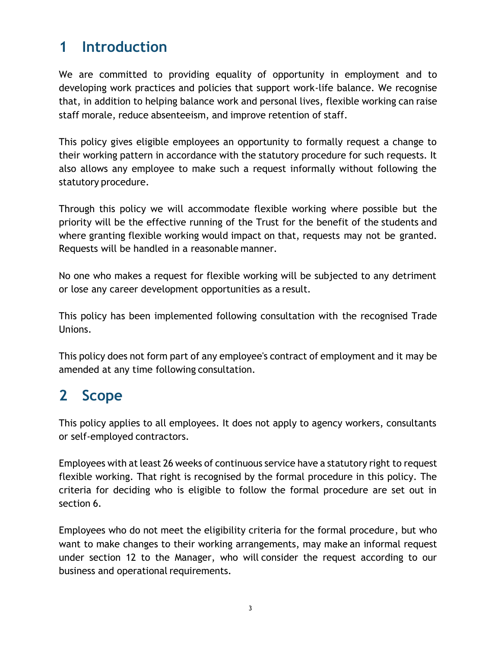# **1 Introduction**

<span id="page-2-0"></span>We are committed to providing equality of opportunity in employment and to developing work practices and policies that support work-life balance. We recognise that, in addition to helping balance work and personal lives, flexible working can raise staff morale, reduce absenteeism, and improve retention of staff.

This policy gives eligible employees an opportunity to formally request a change to their working pattern in accordance with the statutory procedure for such requests. It also allows any employee to make such a request informally without following the statutory procedure.

Through this policy we will accommodate flexible working where possible but the priority will be the effective running of the Trust for the benefit of the students and where granting flexible working would impact on that, requests may not be granted. Requests will be handled in a reasonable manner.

No one who makes a request for flexible working will be subjected to any detriment or lose any career development opportunities as a result.

This policy has been implemented following consultation with the recognised Trade Unions.

This policy does not form part of any employee's contract of employment and it may be amended at any time following consultation.

# **2 Scope**

<span id="page-2-1"></span>This policy applies to all employees. It does not apply to agency workers, consultants or self-employed contractors.

Employees with at least 26 weeks of continuous service have a statutory right to request flexible working. That right is recognised by the formal procedure in this policy. The criteria for deciding who is eligible to follow the formal procedure are set out in section [6.](#page-4-2)

Employees who do not meet the eligibility criteria for the formal procedure, but who want to make changes to their working arrangements, may make an informal request under section 12 to the Manager, who will consider the request according to our business and operational requirements.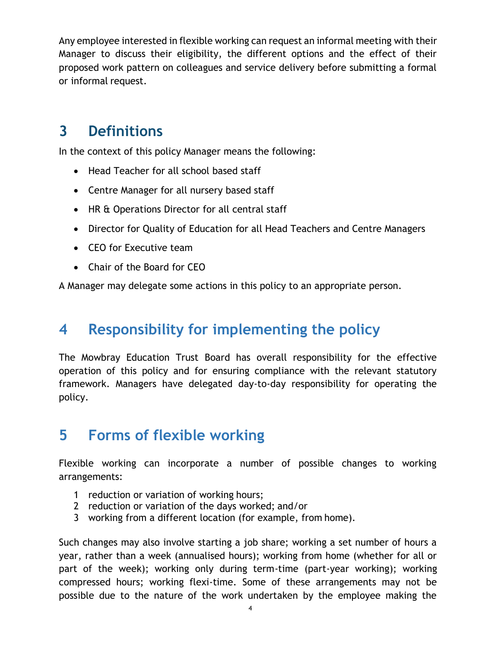Any employee interested in flexible working can request an informal meeting with their Manager to discuss their eligibility, the different options and the effect of their proposed work pattern on colleagues and service delivery before submitting a formal or informal request.

#### **3 Definitions**

<span id="page-3-0"></span>In the context of this policy Manager means the following:

- Head Teacher for all school based staff
- Centre Manager for all nursery based staff
- HR & Operations Director for all central staff
- Director for Quality of Education for all Head Teachers and Centre Managers
- CEO for Executive team
- Chair of the Board for CEO

A Manager may delegate some actions in this policy to an appropriate person.

#### **4 Responsibility for implementing the policy**

<span id="page-3-1"></span>The Mowbray Education Trust Board has overall responsibility for the effective operation of this policy and for ensuring compliance with the relevant statutory framework. Managers have delegated day-to-day responsibility for operating the policy.

# **5 Forms of flexible working**

<span id="page-3-2"></span>Flexible working can incorporate a number of possible changes to working arrangements:

- 1 reduction or variation of working hours;
- 2 reduction or variation of the days worked; and/or
- 3 working from a different location (for example, from home).

Such changes may also involve starting a job share; working a set number of hours a year, rather than a week (annualised hours); working from home (whether for all or part of the week); working only during term-time (part-year working); working compressed hours; working flexi-time. Some of these arrangements may not be possible due to the nature of the work undertaken by the employee making the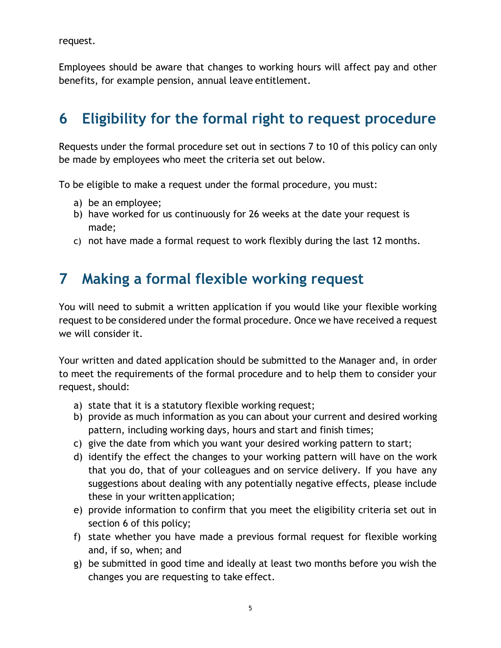request.

Employees should be aware that changes to working hours will affect pay and other benefits, for example pension, annual leave entitlement.

# <span id="page-4-2"></span>**6 Eligibility for the formal right to request procedure**

<span id="page-4-0"></span>Requests under the formal procedure set out in sections 7 to 10 of this policy can only be made by employees who meet the criteria set out below.

To be eligible to make a request under the formal procedure, you must:

- a) be an employee;
- b) have worked for us continuously for 26 weeks at the date your request is made;
- c) not have made a formal request to work flexibly during the last 12 months.

#### **7 Making a formal flexible working request**

<span id="page-4-1"></span>You will need to submit a written application if you would like your flexible working request to be considered under the formal procedure. Once we have received a request we will consider it.

Your written and dated application should be submitted to the Manager and, in order to meet the requirements of the formal procedure and to help them to consider your request, should:

- a) state that it is a statutory flexible working request;
- b) provide as much information as you can about your current and desired working pattern, including working days, hours and start and finish times;
- c) give the date from which you want your desired working pattern to start;
- d) identify the effect the changes to your working pattern will have on the work that you do, that of your colleagues and on service delivery. If you have any suggestions about dealing with any potentially negative effects, please include these in your written application;
- e) provide information to confirm that you meet the eligibility criteria set out in section 6 of this policy;
- f) state whether you have made a previous formal request for flexible working and, if so, when; and
- g) be submitted in good time and ideally at least two months before you wish the changes you are requesting to take effect.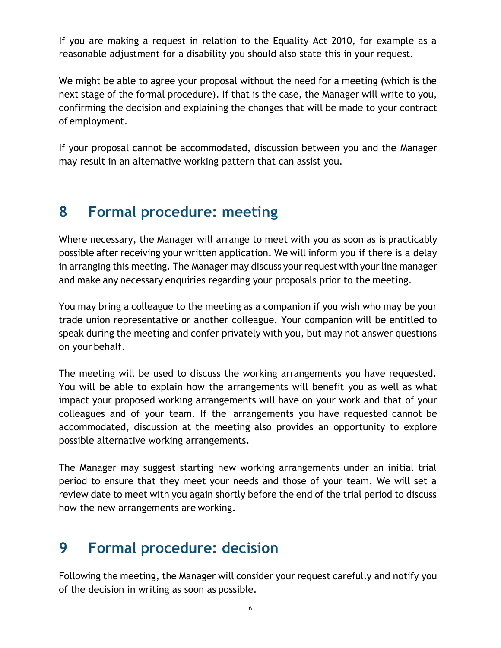If you are making a request in relation to the Equality Act 2010, for example as a reasonable adjustment for a disability you should also state this in your request.

We might be able to agree your proposal without the need for a meeting (which is the next stage of the formal procedure). If that is the case, the Manager will write to you, confirming the decision and explaining the changes that will be made to your contract of employment.

If your proposal cannot be accommodated, discussion between you and the Manager may result in an alternative working pattern that can assist you.

#### **8 Formal procedure: meeting**

<span id="page-5-0"></span>Where necessary, the Manager will arrange to meet with you as soon as is practicably possible after receiving your written application. We will inform you if there is a delay in arranging this meeting. The Manager may discuss your request with your line manager and make any necessary enquiries regarding your proposals prior to the meeting.

You may bring a colleague to the meeting as a companion if you wish who may be your trade union representative or another colleague. Your companion will be entitled to speak during the meeting and confer privately with you, but may not answer questions on your behalf.

The meeting will be used to discuss the working arrangements you have requested. You will be able to explain how the arrangements will benefit you as well as what impact your proposed working arrangements will have on your work and that of your colleagues and of your team. If the arrangements you have requested cannot be accommodated, discussion at the meeting also provides an opportunity to explore possible alternative working arrangements.

The Manager may suggest starting new working arrangements under an initial trial period to ensure that they meet your needs and those of your team. We will set a review date to meet with you again shortly before the end of the trial period to discuss how the new arrangements are working.

# **9 Formal procedure: decision**

<span id="page-5-1"></span>Following the meeting, the Manager will consider your request carefully and notify you of the decision in writing as soon as possible.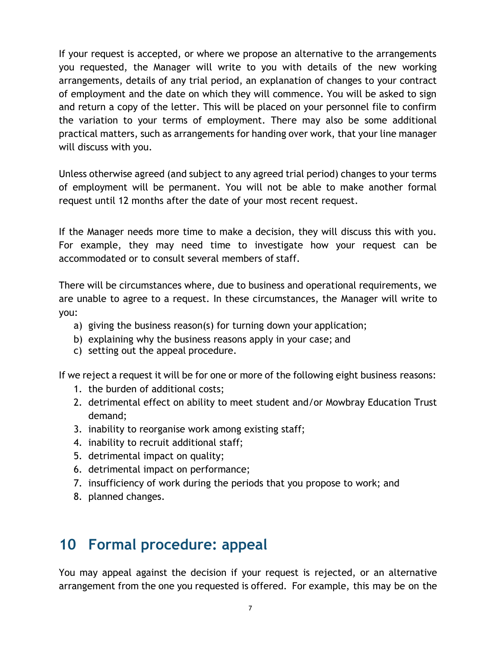If your request is accepted, or where we propose an alternative to the arrangements you requested, the Manager will write to you with details of the new working arrangements, details of any trial period, an explanation of changes to your contract of employment and the date on which they will commence. You will be asked to sign and return a copy of the letter. This will be placed on your personnel file to confirm the variation to your terms of employment. There may also be some additional practical matters, such as arrangements for handing over work, that your line manager will discuss with you.

Unless otherwise agreed (and subject to any agreed trial period) changes to your terms of employment will be permanent. You will not be able to make another formal request until 12 months after the date of your most recent request.

If the Manager needs more time to make a decision, they will discuss this with you. For example, they may need time to investigate how your request can be accommodated or to consult several members of staff.

There will be circumstances where, due to business and operational requirements, we are unable to agree to a request. In these circumstances, the Manager will write to you:

- a) giving the business reason(s) for turning down your application;
- b) explaining why the business reasons apply in your case; and
- c) setting out the appeal procedure.

If we reject a request it will be for one or more of the following eight business reasons:

- 1. the burden of additional costs;
- 2. detrimental effect on ability to meet student and/or Mowbray Education Trust demand;
- 3. inability to reorganise work among existing staff;
- 4. inability to recruit additional staff;
- 5. detrimental impact on quality;
- 6. detrimental impact on performance;
- 7. insufficiency of work during the periods that you propose to work; and
- 8. planned changes.

#### **10 Formal procedure: appeal**

<span id="page-6-0"></span>You may appeal against the decision if your request is rejected, or an alternative arrangement from the one you requested is offered. For example, this may be on the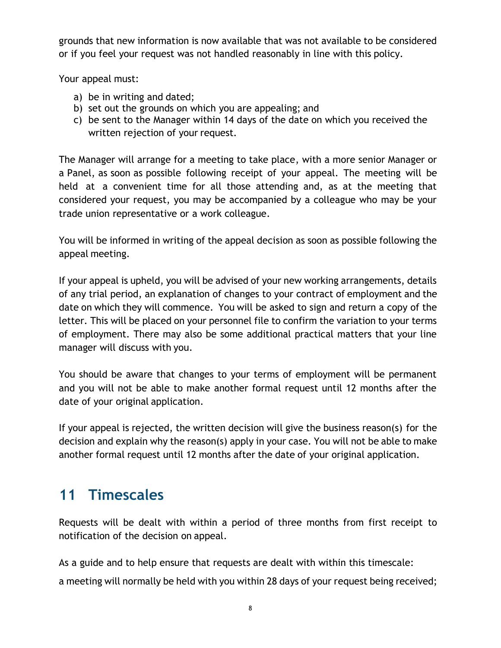grounds that new information is now available that was not available to be considered or if you feel your request was not handled reasonably in line with this policy.

Your appeal must:

- a) be in writing and dated;
- b) set out the grounds on which you are appealing; and
- c) be sent to the Manager within 14 days of the date on which you received the written rejection of your request.

The Manager will arrange for a meeting to take place, with a more senior Manager or a Panel, as soon as possible following receipt of your appeal. The meeting will be held at a convenient time for all those attending and, as at the meeting that considered your request, you may be accompanied by a colleague who may be your trade union representative or a work colleague.

You will be informed in writing of the appeal decision as soon as possible following the appeal meeting.

If your appeal is upheld, you will be advised of your new working arrangements, details of any trial period, an explanation of changes to your contract of employment and the date on which they will commence. You will be asked to sign and return a copy of the letter. This will be placed on your personnel file to confirm the variation to your terms of employment. There may also be some additional practical matters that your line manager will discuss with you.

You should be aware that changes to your terms of employment will be permanent and you will not be able to make another formal request until 12 months after the date of your original application.

If your appeal is rejected, the written decision will give the business reason(s) for the decision and explain why the reason(s) apply in your case. You will not be able to make another formal request until 12 months after the date of your original application.

# **11 Timescales**

<span id="page-7-0"></span>Requests will be dealt with within a period of three months from first receipt to notification of the decision on appeal.

As a guide and to help ensure that requests are dealt with within this timescale: a meeting will normally be held with you within 28 days of your request being received;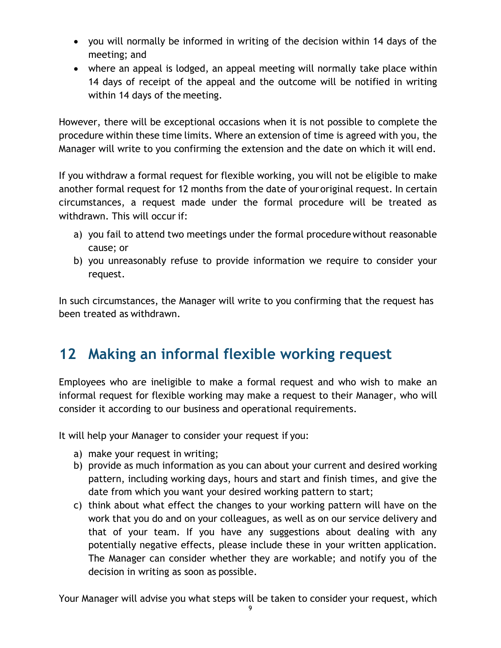- you will normally be informed in writing of the decision within 14 days of the meeting; and
- where an appeal is lodged, an appeal meeting will normally take place within 14 days of receipt of the appeal and the outcome will be notified in writing within 14 days of the meeting.

However, there will be exceptional occasions when it is not possible to complete the procedure within these time limits. Where an extension of time is agreed with you, the Manager will write to you confirming the extension and the date on which it will end.

If you withdraw a formal request for flexible working, you will not be eligible to make another formal request for 12 months from the date of youroriginal request. In certain circumstances, a request made under the formal procedure will be treated as withdrawn. This will occur if:

- a) you fail to attend two meetings under the formal procedure without reasonable cause; or
- b) you unreasonably refuse to provide information we require to consider your request.

In such circumstances, the Manager will write to you confirming that the request has been treated as withdrawn.

# **12 Making an informal flexible working request**

<span id="page-8-0"></span>Employees who are ineligible to make a formal request and who wish to make an informal request for flexible working may make a request to their Manager, who will consider it according to our business and operational requirements.

It will help your Manager to consider your request if you:

- a) make your request in writing;
- b) provide as much information as you can about your current and desired working pattern, including working days, hours and start and finish times, and give the date from which you want your desired working pattern to start;
- c) think about what effect the changes to your working pattern will have on the work that you do and on your colleagues, as well as on our service delivery and that of your team. If you have any suggestions about dealing with any potentially negative effects, please include these in your written application. The Manager can consider whether they are workable; and notify you of the decision in writing as soon as possible.

Your Manager will advise you what steps will be taken to consider your request, which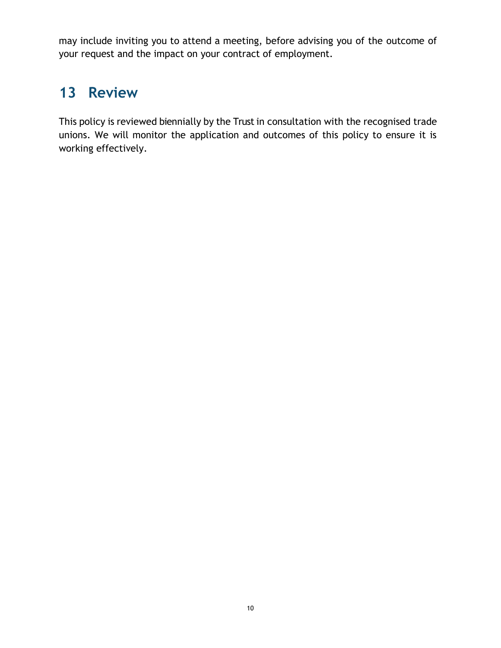may include inviting you to attend a meeting, before advising you of the outcome of your request and the impact on your contract of employment.

#### **13 Review**

<span id="page-9-0"></span>This policy is reviewed biennially by the Trust in consultation with the recognised trade unions. We will monitor the application and outcomes of this policy to ensure it is working effectively.